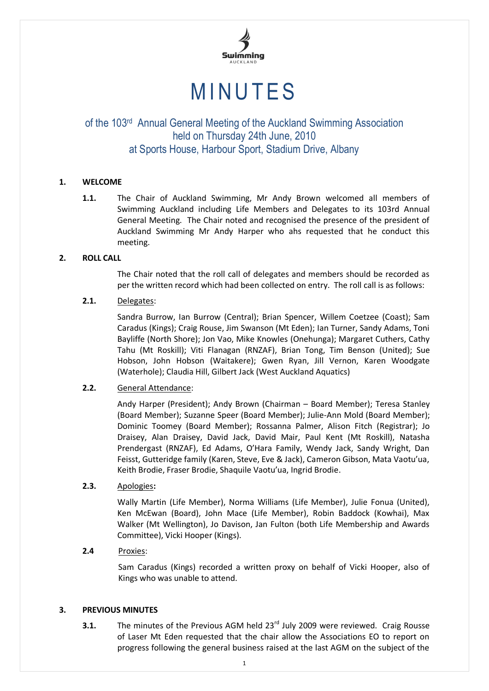

# **MINUTES**

## of the 103<sup>rd</sup> Annual General Meeting of the Auckland Swimming Association held on Thursday 24th June, 2010 at Sports House, Harbour Sport, Stadium Drive, Albany

## **1. WELCOME**

**1.1.** The Chair of Auckland Swimming, Mr Andy Brown welcomed all members of Swimming Auckland including Life Members and Delegates to its 103rd Annual General Meeting. The Chair noted and recognised the presence of the president of Auckland Swimming Mr Andy Harper who ahs requested that he conduct this meeting.

## **2. ROLL CALL**

The Chair noted that the roll call of delegates and members should be recorded as per the written record which had been collected on entry. The roll call is as follows:

## **2.1.** Delegates:

Sandra Burrow, Ian Burrow (Central); Brian Spencer, Willem Coetzee (Coast); Sam Caradus (Kings); Craig Rouse, Jim Swanson (Mt Eden); Ian Turner, Sandy Adams, Toni Bayliffe (North Shore); Jon Vao, Mike Knowles (Onehunga); Margaret Cuthers, Cathy Tahu (Mt Roskill); Viti Flanagan (RNZAF), Brian Tong, Tim Benson (United); Sue Hobson, John Hobson (Waitakere); Gwen Ryan, Jill Vernon, Karen Woodgate (Waterhole); Claudia Hill, Gilbert Jack (West Auckland Aquatics)

## **2.2.** General Attendance:

Andy Harper (President); Andy Brown (Chairman – Board Member); Teresa Stanley (Board Member); Suzanne Speer (Board Member); Julie-Ann Mold (Board Member); Dominic Toomey (Board Member); Rossanna Palmer, Alison Fitch (Registrar); Jo Draisey, Alan Draisey, David Jack, David Mair, Paul Kent (Mt Roskill), Natasha Prendergast (RNZAF), Ed Adams, O'Hara Family, Wendy Jack, Sandy Wright, Dan Feisst, Gutteridge family (Karen, Steve, Eve & Jack), Cameron Gibson, Mata Vaotu'ua, Keith Brodie, Fraser Brodie, Shaquile Vaotu'ua, Ingrid Brodie.

## **2.3.** Apologies**:**

Wally Martin (Life Member), Norma Williams (Life Member), Julie Fonua (United), Ken McEwan (Board), John Mace (Life Member), Robin Baddock (Kowhai), Max Walker (Mt Wellington), Jo Davison, Jan Fulton (both Life Membership and Awards Committee), Vicki Hooper (Kings).

## **2.4** Proxies:

Sam Caradus (Kings) recorded a written proxy on behalf of Vicki Hooper, also of Kings who was unable to attend.

## **3. PREVIOUS MINUTES**

**3.1.** The minutes of the Previous AGM held 23<sup>rd</sup> July 2009 were reviewed. Craig Rousse of Laser Mt Eden requested that the chair allow the Associations EO to report on progress following the general business raised at the last AGM on the subject of the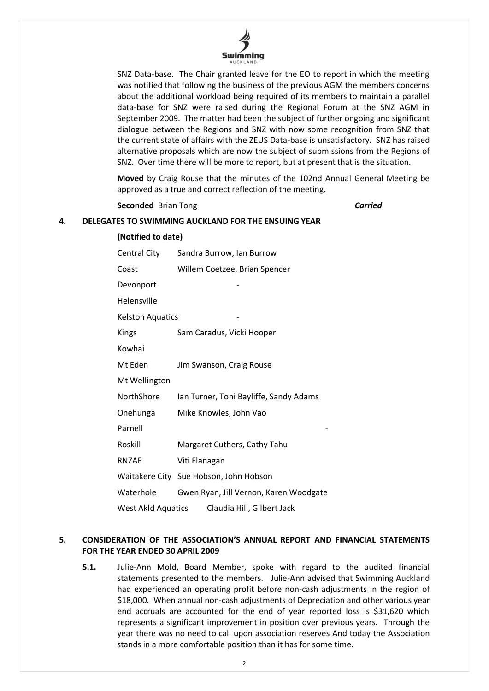

SNZ Data-base. The Chair granted leave for the EO to report in which the meeting was notified that following the business of the previous AGM the members concerns about the additional workload being required of its members to maintain a parallel data-base for SNZ were raised during the Regional Forum at the SNZ AGM in September 2009. The matter had been the subject of further ongoing and significant dialogue between the Regions and SNZ with now some recognition from SNZ that the current state of affairs with the ZEUS Data-base is unsatisfactory. SNZ has raised alternative proposals which are now the subject of submissions from the Regions of SNZ. Over time there will be more to report, but at present that is the situation.

**Moved** by Craig Rouse that the minutes of the 102nd Annual General Meeting be approved as a true and correct reflection of the meeting.

**Seconded** Brian Tong *Carried*

#### **4. DELEGATES TO SWIMMING AUCKLAND FOR THE ENSUING YEAR**

| (Notified to date)                               |                                        |  |
|--------------------------------------------------|----------------------------------------|--|
| Central City                                     | Sandra Burrow, Ian Burrow              |  |
| Coast                                            | Willem Coetzee, Brian Spencer          |  |
| Devonport                                        |                                        |  |
| Helensville                                      |                                        |  |
| <b>Kelston Aquatics</b>                          |                                        |  |
| Kings                                            | Sam Caradus, Vicki Hooper              |  |
| Kowhai                                           |                                        |  |
| Mt Eden                                          | Jim Swanson, Craig Rouse               |  |
| Mt Wellington                                    |                                        |  |
| NorthShore                                       | Ian Turner, Toni Bayliffe, Sandy Adams |  |
| Onehunga                                         | Mike Knowles, John Vao                 |  |
| Parnell                                          |                                        |  |
| Roskill                                          | Margaret Cuthers, Cathy Tahu           |  |
| <b>RNZAF</b>                                     | Viti Flanagan                          |  |
|                                                  | Waitakere City Sue Hobson, John Hobson |  |
| Waterhole                                        | Gwen Ryan, Jill Vernon, Karen Woodgate |  |
| Claudia Hill, Gilbert Jack<br>West Akld Aquatics |                                        |  |

## **5. CONSIDERATION OF THE ASSOCIATION'S ANNUAL REPORT AND FINANCIAL STATEMENTS FOR THE YEAR ENDED 30 APRIL 2009**

**5.1.** Julie-Ann Mold, Board Member, spoke with regard to the audited financial statements presented to the members. Julie-Ann advised that Swimming Auckland had experienced an operating profit before non-cash adjustments in the region of \$18,000. When annual non-cash adjustments of Depreciation and other various year end accruals are accounted for the end of year reported loss is \$31,620 which represents a significant improvement in position over previous years. Through the year there was no need to call upon association reserves And today the Association stands in a more comfortable position than it has for some time.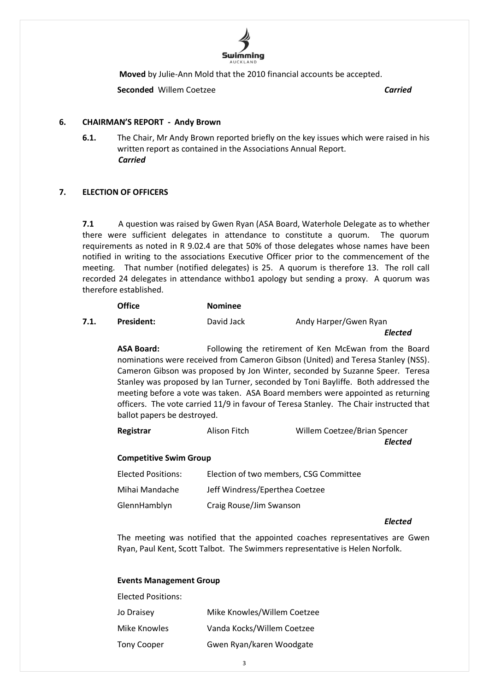

**Moved** by Julie-Ann Mold that the 2010 financial accounts be accepted.

**Seconded** Willem Coetzee *Carried*

## **6. CHAIRMAN'S REPORT - Andy Brown**

**6.1.** The Chair, Mr Andy Brown reported briefly on the key issues which were raised in his written report as contained in the Associations Annual Report. *Carried*

## **7. ELECTION OF OFFICERS**

**7.1** A question was raised by Gwen Ryan (ASA Board, Waterhole Delegate as to whether there were sufficient delegates in attendance to constitute a quorum. The quorum requirements as noted in R 9.02.4 are that 50% of those delegates whose names have been notified in writing to the associations Executive Officer prior to the commencement of the meeting. That number (notified delegates) is 25. A quorum is therefore 13. The roll call recorded 24 delegates in attendance withbo1 apology but sending a proxy. A quorum was therefore established.

|      | <b>Office</b> | <b>Nominee</b> |                       |
|------|---------------|----------------|-----------------------|
| 7.1. | President:    | David Jack     | Andy Harper/Gwen Ryan |
|      |               |                | Elected               |

**ASA Board:** Following the retirement of Ken McEwan from the Board nominations were received from Cameron Gibson (United) and Teresa Stanley (NSS). Cameron Gibson was proposed by Jon Winter, seconded by Suzanne Speer. Teresa Stanley was proposed by Ian Turner, seconded by Toni Bayliffe. Both addressed the meeting before a vote was taken. ASA Board members were appointed as returning officers. The vote carried 11/9 in favour of Teresa Stanley. The Chair instructed that ballot papers be destroyed.

| Registrar | Alison Fitch | Willem Coetzee/Brian Spencer |
|-----------|--------------|------------------------------|
|-----------|--------------|------------------------------|

*Elected*

## **Competitive Swim Group**

| <b>Elected Positions:</b> | Election of two members, CSG Committee |
|---------------------------|----------------------------------------|
| Mihai Mandache            | Jeff Windress/Eperthea Coetzee         |
| GlennHamblyn              | Craig Rouse/Jim Swanson                |

*Elected*

The meeting was notified that the appointed coaches representatives are Gwen Ryan, Paul Kent, Scott Talbot. The Swimmers representative is Helen Norfolk.

#### **Events Management Group**

| <b>Elected Positions:</b> |                             |
|---------------------------|-----------------------------|
| Jo Draisey                | Mike Knowles/Willem Coetzee |
| Mike Knowles              | Vanda Kocks/Willem Coetzee  |
| <b>Tony Cooper</b>        | Gwen Ryan/karen Woodgate    |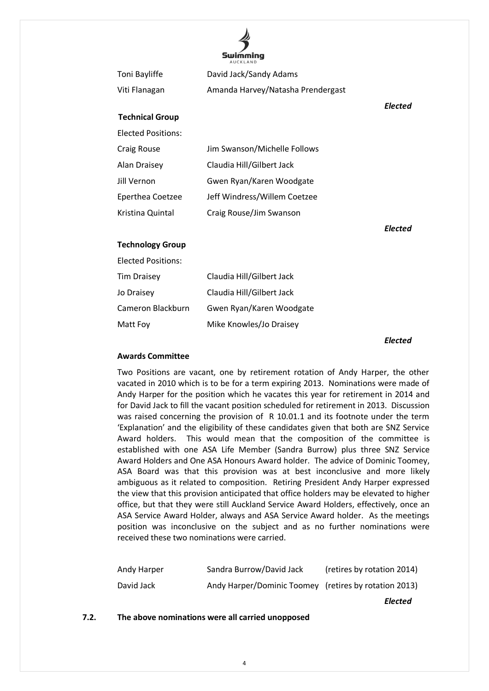

|                           | <b>AUCKLAND</b>                   |                |
|---------------------------|-----------------------------------|----------------|
| Toni Bayliffe             | David Jack/Sandy Adams            |                |
| Viti Flanagan             | Amanda Harvey/Natasha Prendergast |                |
|                           |                                   | <b>Elected</b> |
| <b>Technical Group</b>    |                                   |                |
| <b>Elected Positions:</b> |                                   |                |
| <b>Craig Rouse</b>        | Jim Swanson/Michelle Follows      |                |
| <b>Alan Draisey</b>       | Claudia Hill/Gilbert Jack         |                |
| Jill Vernon               | Gwen Ryan/Karen Woodgate          |                |
| Eperthea Coetzee          | Jeff Windress/Willem Coetzee      |                |
| Kristina Quintal          | Craig Rouse/Jim Swanson           |                |
|                           |                                   | Elected        |
| <b>Technology Group</b>   |                                   |                |
| <b>Elected Positions:</b> |                                   |                |
| <b>Tim Draisey</b>        | Claudia Hill/Gilbert Jack         |                |
| Jo Draisey                | Claudia Hill/Gilbert Jack         |                |
| Cameron Blackburn         | Gwen Ryan/Karen Woodgate          |                |
|                           |                                   |                |

*Elected*

#### **Awards Committee**

Matt Foy Mike Knowles/Jo Draisey

Two Positions are vacant, one by retirement rotation of Andy Harper, the other vacated in 2010 which is to be for a term expiring 2013. Nominations were made of Andy Harper for the position which he vacates this year for retirement in 2014 and for David Jack to fill the vacant position scheduled for retirement in 2013. Discussion was raised concerning the provision of R 10.01.1 and its footnote under the term 'Explanation' and the eligibility of these candidates given that both are SNZ Service Award holders. This would mean that the composition of the committee is established with one ASA Life Member (Sandra Burrow) plus three SNZ Service Award Holders and One ASA Honours Award holder. The advice of Dominic Toomey, ASA Board was that this provision was at best inconclusive and more likely ambiguous as it related to composition. Retiring President Andy Harper expressed the view that this provision anticipated that office holders may be elevated to higher office, but that they were still Auckland Service Award Holders, effectively, once an ASA Service Award Holder, always and ASA Service Award holder. As the meetings position was inconclusive on the subject and as no further nominations were received these two nominations were carried.

| Andy Harper | Sandra Burrow/David Jack                              | (retires by rotation 2014) |
|-------------|-------------------------------------------------------|----------------------------|
| David Jack  | Andy Harper/Dominic Toomey (retires by rotation 2013) |                            |

*Elected*

## **7.2. The above nominations were all carried unopposed**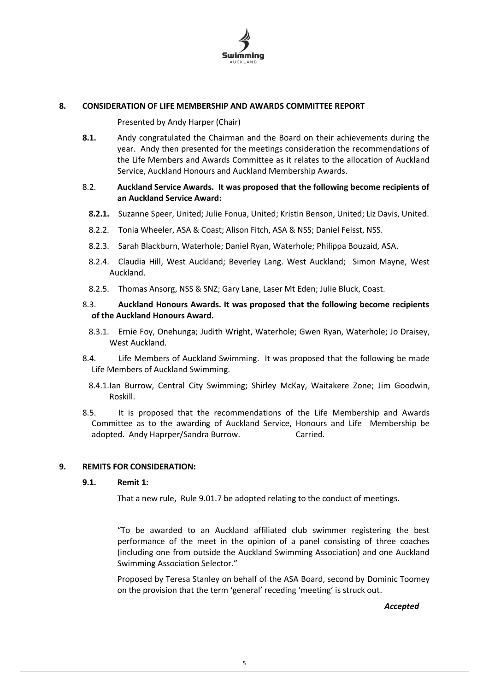

## **8. CONSIDERATION OF LIFE MEMBERSHIP AND AWARDS COMMITTEE REPORT**

Presented by Andy Harper (Chair)

**8.1.** Andy congratulated the Chairman and the Board on their achievements during the year. Andy then presented for the meetings consideration the recommendations of the Life Members and Awards Committee as it relates to the allocation of Auckland Service, Auckland Honours and Auckland Membership Awards.

## 8.2. **Auckland Service Awards. It was proposed that the following become recipients of an Auckland Service Award:**

- **8.2.1.** Suzanne Speer, United; Julie Fonua, United; Kristin Benson, United; Liz Davis, United.
- 8.2.2. Tonia Wheeler, ASA & Coast; Alison Fitch, ASA & NSS; Daniel Feisst, NSS.
- 8.2.3. Sarah Blackburn, Waterhole; Daniel Ryan, Waterhole; Philippa Bouzaid, ASA.
- 8.2.4. Claudia Hill, West Auckland; Beverley Lang. West Auckland; Simon Mayne, West Auckland.
- 8.2.5. Thomas Ansorg, NSS & SNZ; Gary Lane, Laser Mt Eden; Julie Bluck, Coast.

## 8.3. **Auckland Honours Awards. It was proposed that the following become recipients of the Auckland Honours Award.**

- 8.3.1. Ernie Foy, Onehunga; Judith Wright, Waterhole; Gwen Ryan, Waterhole; Jo Draisey, West Auckland.
- 8.4. Life Members of Auckland Swimming. It was proposed that the following be made Life Members of Auckland Swimming.
	- 8.4.1.Ian Burrow, Central City Swimming; Shirley McKay, Waitakere Zone; Jim Goodwin, Roskill.
- 8.5. It is proposed that the recommendations of the Life Membership and Awards Committee as to the awarding of Auckland Service, Honours and Life Membership be adopted. Andy Haprper/Sandra Burrow. Carried.

## **9. REMITS FOR CONSIDERATION:**

#### **9.1. Remit 1:**

That a new rule, Rule 9.01.7 be adopted relating to the conduct of meetings.

"To be awarded to an Auckland affiliated club swimmer registering the best performance of the meet in the opinion of a panel consisting of three coaches (including one from outside the Auckland Swimming Association) and one Auckland Swimming Association Selector."

Proposed by Teresa Stanley on behalf of the ASA Board, second by Dominic Toomey on the provision that the term 'general' receding 'meeting' is struck out.

*Accepted*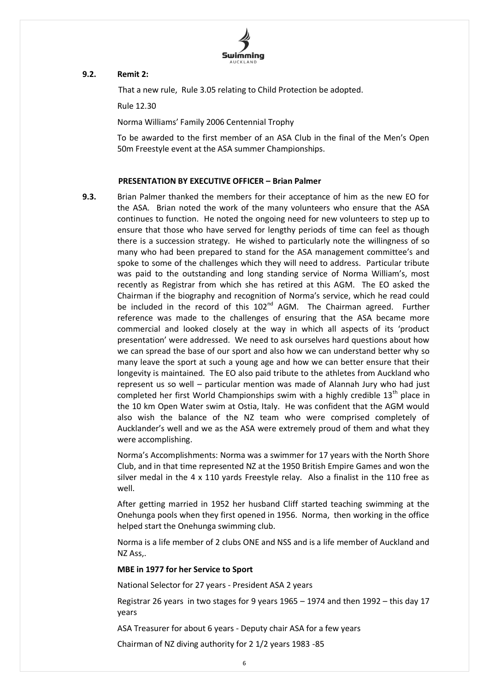

## **9.2. Remit 2:**

That a new rule, Rule 3.05 relating to Child Protection be adopted.

Rule 12.30

Norma Williams' Family 2006 Centennial Trophy

To be awarded to the first member of an ASA Club in the final of the Men's Open 50m Freestyle event at the ASA summer Championships.

## **PRESENTATION BY EXECUTIVE OFFICER – Brian Palmer**

**9.3.** Brian Palmer thanked the members for their acceptance of him as the new EO for the ASA. Brian noted the work of the many volunteers who ensure that the ASA continues to function. He noted the ongoing need for new volunteers to step up to ensure that those who have served for lengthy periods of time can feel as though there is a succession strategy. He wished to particularly note the willingness of so many who had been prepared to stand for the ASA management committee's and spoke to some of the challenges which they will need to address. Particular tribute was paid to the outstanding and long standing service of Norma William's, most recently as Registrar from which she has retired at this AGM. The EO asked the Chairman if the biography and recognition of Norma's service, which he read could be included in the record of this  $102<sup>nd</sup>$  AGM. The Chairman agreed. Further reference was made to the challenges of ensuring that the ASA became more commercial and looked closely at the way in which all aspects of its 'product presentation' were addressed. We need to ask ourselves hard questions about how we can spread the base of our sport and also how we can understand better why so many leave the sport at such a young age and how we can better ensure that their longevity is maintained. The EO also paid tribute to the athletes from Auckland who represent us so well – particular mention was made of Alannah Jury who had just completed her first World Championships swim with a highly credible  $13<sup>th</sup>$  place in the 10 km Open Water swim at Ostia, Italy. He was confident that the AGM would also wish the balance of the NZ team who were comprised completely of Aucklander's well and we as the ASA were extremely proud of them and what they were accomplishing.

> Norma's Accomplishments: Norma was a swimmer for 17 years with the North Shore Club, and in that time represented NZ at the 1950 British Empire Games and won the silver medal in the 4 x 110 yards Freestyle relay. Also a finalist in the 110 free as well.

> After getting married in 1952 her husband Cliff started teaching swimming at the Onehunga pools when they first opened in 1956. Norma, then working in the office helped start the Onehunga swimming club.

> Norma is a life member of 2 clubs ONE and NSS and is a life member of Auckland and NZ Ass,.

## **MBE in 1977 for her Service to Sport**

National Selector for 27 years - President ASA 2 years

Registrar 26 years in two stages for 9 years 1965 – 1974 and then 1992 – this day 17 years

ASA Treasurer for about 6 years - Deputy chair ASA for a few years

Chairman of NZ diving authority for 2 1/2 years 1983 -85